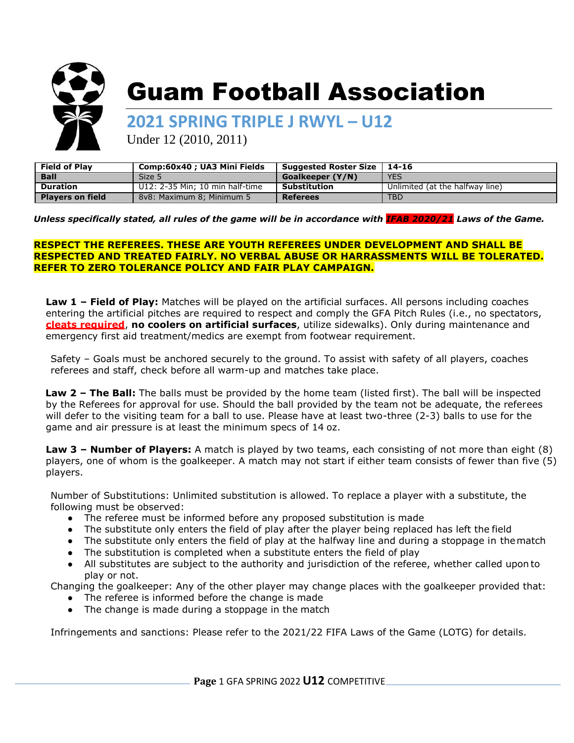

# Guam Football Association

**2021 SPRING TRIPLE J RWYL – U12**

Under 12 (2010, 2011)

| <b>Field of Play</b>    | Comp:60x40 ; UA3 Mini Fields    | Suggested Roster Size   14-16 |                                 |
|-------------------------|---------------------------------|-------------------------------|---------------------------------|
| <b>Ball</b>             | Size 5                          | <b>Goalkeeper (Y/N)</b>       | <b>YES</b>                      |
| <b>Duration</b>         | U12: 2-35 Min: 10 min half-time | Substitution                  | Unlimited (at the halfway line) |
| <b>Players on field</b> | 8y8: Maximum 8: Minimum 5       | <b>Referees</b>               | <b>TBD</b>                      |

*Unless specifically stated, all rules of the game will be in accordance with IFAB 2020/21 Laws of the Game.*

## **RESPECT THE REFEREES. THESE ARE YOUTH REFEREES UNDER DEVELOPMENT AND SHALL BE RESPECTED AND TREATED FAIRLY. NO VERBAL ABUSE OR HARRASSMENTS WILL BE TOLERATED. REFER TO ZERO TOLERANCE POLICY AND FAIR PLAY CAMPAIGN.**

**Law 1 – Field of Play:** Matches will be played on the artificial surfaces. All persons including coaches entering the artificial pitches are required to respect and comply the GFA Pitch Rules (i.e., no spectators, **cleats required**, **no coolers on artificial surfaces**, utilize sidewalks). Only during maintenance and emergency first aid treatment/medics are exempt from footwear requirement.

Safety – Goals must be anchored securely to the ground. To assist with safety of all players, coaches referees and staff, check before all warm-up and matches take place.

**Law 2 – The Ball:** The balls must be provided by the home team (listed first). The ball will be inspected by the Referees for approval for use. Should the ball provided by the team not be adequate, the referees will defer to the visiting team for a ball to use. Please have at least two-three (2-3) balls to use for the game and air pressure is at least the minimum specs of 14 oz.

**Law 3 – Number of Players:** A match is played by two teams, each consisting of not more than eight (8) players, one of whom is the goalkeeper. A match may not start if either team consists of fewer than five (5) players.

Number of Substitutions: Unlimited substitution is allowed. To replace a player with a substitute, the following must be observed:

- The referee must be informed before any proposed substitution is made
- The substitute only enters the field of play after the player being replaced has left the field
- The substitute only enters the field of play at the halfway line and during a stoppage in thematch
- The substitution is completed when a substitute enters the field of play

● All substitutes are subject to the authority and jurisdiction of the referee, whether called upon to play or not.

Changing the goalkeeper: Any of the other player may change places with the goalkeeper provided that:

• The referee is informed before the change is made • The change is made during a stoppage in the match

Infringements and sanctions: Please refer to the 2021/22 FIFA Laws of the Game (LOTG) for details.

**Page** 1 GFA SPRING 2022 **U12** COMPETITIVE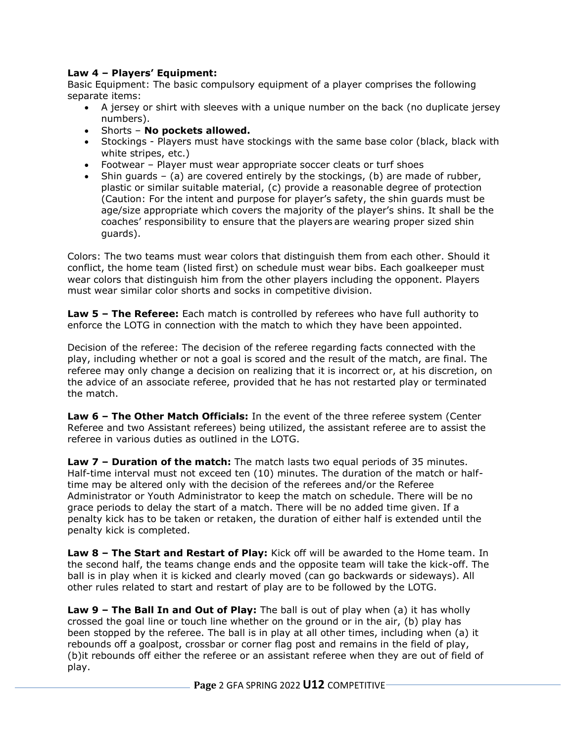## **Law 4 – Players' Equipment:**

Basic Equipment: The basic compulsory equipment of a player comprises the following separate items:

- A jersey or shirt with sleeves with a unique number on the back (no duplicate jersey numbers).
- Shorts **No pockets allowed.**
- Stockings Players must have stockings with the same base color (black, black with white stripes, etc.)
- Footwear Player must wear appropriate soccer cleats or turf shoes
- $\bullet$  Shin guards (a) are covered entirely by the stockings, (b) are made of rubber, plastic or similar suitable material, (c) provide a reasonable degree of protection (Caution: For the intent and purpose for player's safety, the shin guards must be age/size appropriate which covers the majority of the player's shins. It shall be the coaches' responsibility to ensure that the players are wearing proper sized shin guards).

Colors: The two teams must wear colors that distinguish them from each other. Should it conflict, the home team (listed first) on schedule must wear bibs. Each goalkeeper must wear colors that distinguish him from the other players including the opponent. Players must wear similar color shorts and socks in competitive division.

**Law 5 – The Referee:** Each match is controlled by referees who have full authority to enforce the LOTG in connection with the match to which they have been appointed.

Decision of the referee: The decision of the referee regarding facts connected with the play, including whether or not a goal is scored and the result of the match, are final. The referee may only change a decision on realizing that it is incorrect or, at his discretion, on the advice of an associate referee, provided that he has not restarted play or terminated the match.

**Law 6 – The Other Match Officials:** In the event of the three referee system (Center Referee and two Assistant referees) being utilized, the assistant referee are to assist the referee in various duties as outlined in the LOTG.

**Law 7 – Duration of the match:** The match lasts two equal periods of 35 minutes. Half-time interval must not exceed ten (10) minutes. The duration of the match or halftime may be altered only with the decision of the referees and/or the Referee Administrator or Youth Administrator to keep the match on schedule. There will be no grace periods to delay the start of a match. There will be no added time given. If a penalty kick has to be taken or retaken, the duration of either half is extended until the penalty kick is completed.

**Law 8 – The Start and Restart of Play:** Kick off will be awarded to the Home team. In the second half, the teams change ends and the opposite team will take the kick-off. The ball is in play when it is kicked and clearly moved (can go backwards or sideways). All other rules related to start and restart of play are to be followed by the LOTG.

**Law 9 – The Ball In and Out of Play:** The ball is out of play when (a) it has wholly crossed the goal line or touch line whether on the ground or in the air, (b) play has been stopped by the referee. The ball is in play at all other times, including when (a) it rebounds off a goalpost, crossbar or corner flag post and remains in the field of play, (b)it rebounds off either the referee or an assistant referee when they are out of field of play.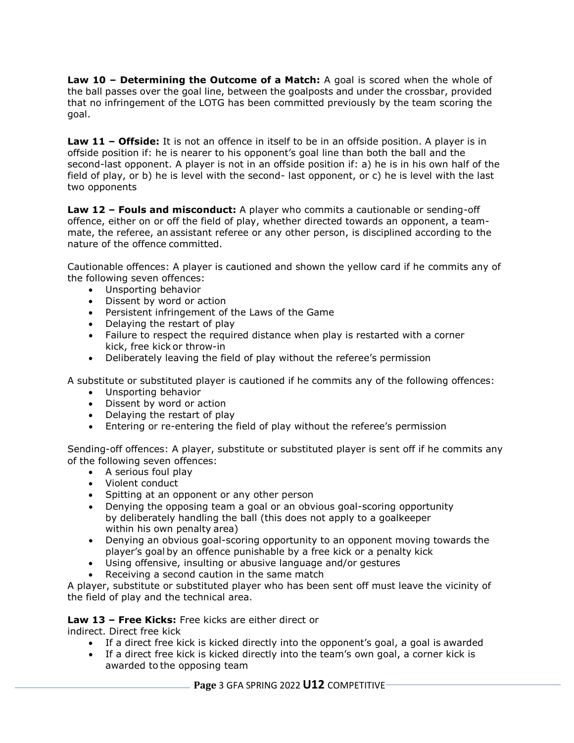**Law 10 – Determining the Outcome of a Match:** A goal is scored when the whole of the ball passes over the goal line, between the goalposts and under the crossbar, provided that no infringement of the LOTG has been committed previously by the team scoring the goal.

**Law 11 – Offside:** It is not an offence in itself to be in an offside position. A player is in offside position if: he is nearer to his opponent's goal line than both the ball and the second-last opponent. A player is not in an offside position if: a) he is in his own half of the field of play, or b) he is level with the second- last opponent, or c) he is level with the last two opponents

**Law 12 – Fouls and misconduct:** A player who commits a cautionable or sending-off offence, either on or off the field of play, whether directed towards an opponent, a teammate, the referee, an assistant referee or any other person, is disciplined according to the nature of the offence committed.

Cautionable offences: A player is cautioned and shown the yellow card if he commits any of the following seven offences:

- Unsporting behavior
- Dissent by word or action
- Persistent infringement of the Laws of the Game
- Delaying the restart of play
- Failure to respect the required distance when play is restarted with a corner kick, free kick or throw-in
- Deliberately leaving the field of play without the referee's permission

A substitute or substituted player is cautioned if he commits any of the following offences:

- Unsporting behavior
- Dissent by word or action
- Delaying the restart of play
- Entering or re-entering the field of play without the referee's permission

Sending-off offences: A player, substitute or substituted player is sent off if he commits any of the following seven offences:

- A serious foul play
- Violent conduct
- Spitting at an opponent or any other person
- Denying the opposing team a goal or an obvious goal-scoring opportunity by deliberately handling the ball (this does not apply to a goalkeeper within his own penalty area)
- Denying an obvious goal-scoring opportunity to an opponent moving towards the player's goal by an offence punishable by a free kick or a penalty kick
- Using offensive, insulting or abusive language and/or gestures
- Receiving a second caution in the same match

A player, substitute or substituted player who has been sent off must leave the vicinity of the field of play and the technical area.

**Law 13 – Free Kicks:** Free kicks are either direct or

indirect. Direct free kick

- If a direct free kick is kicked directly into the opponent's goal, a goal is awarded
- If a direct free kick is kicked directly into the team's own goal, a corner kick is awarded to the opposing team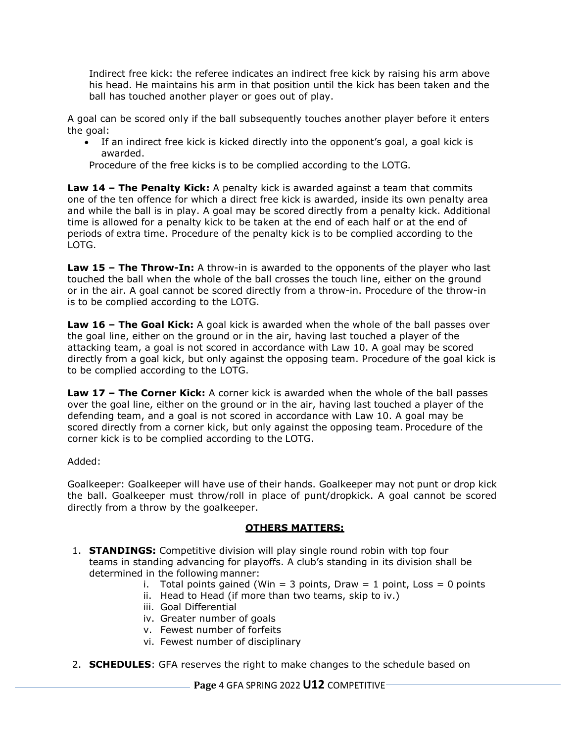Indirect free kick: the referee indicates an indirect free kick by raising his arm above his head. He maintains his arm in that position until the kick has been taken and the ball has touched another player or goes out of play.

A goal can be scored only if the ball subsequently touches another player before it enters the goal:

 If an indirect free kick is kicked directly into the opponent's goal, a goal kick is awarded.

Procedure of the free kicks is to be complied according to the LOTG.

**Law 14 – The Penalty Kick:** A penalty kick is awarded against a team that commits one of the ten offence for which a direct free kick is awarded, inside its own penalty area and while the ball is in play. A goal may be scored directly from a penalty kick. Additional time is allowed for a penalty kick to be taken at the end of each half or at the end of periods of extra time. Procedure of the penalty kick is to be complied according to the LOTG.

**Law 15 – The Throw-In:** A throw-in is awarded to the opponents of the player who last touched the ball when the whole of the ball crosses the touch line, either on the ground or in the air. A goal cannot be scored directly from a throw-in. Procedure of the throw-in is to be complied according to the LOTG.

**Law 16 – The Goal Kick:** A goal kick is awarded when the whole of the ball passes over the goal line, either on the ground or in the air, having last touched a player of the attacking team, a goal is not scored in accordance with Law 10. A goal may be scored directly from a goal kick, but only against the opposing team. Procedure of the goal kick is to be complied according to the LOTG.

**Law 17 – The Corner Kick:** A corner kick is awarded when the whole of the ball passes over the goal line, either on the ground or in the air, having last touched a player of the defending team, and a goal is not scored in accordance with Law 10. A goal may be scored directly from a corner kick, but only against the opposing team. Procedure of the corner kick is to be complied according to the LOTG.

Added:

Goalkeeper: Goalkeeper will have use of their hands. Goalkeeper may not punt or drop kick the ball. Goalkeeper must throw/roll in place of punt/dropkick. A goal cannot be scored directly from a throw by the goalkeeper.

#### **OTHERS MATTERS:**

- 1. **STANDINGS:** Competitive division will play single round robin with top four teams in standing advancing for playoffs. A club's standing in its division shall be determined in the following manner:
	- i. Total points gained (Win = 3 points, Draw = 1 point, Loss = 0 points
		- ii. Head to Head (if more than two teams, skip to iv.)
	- iii. Goal Differential
	- iv. Greater number of goals
	- v. Fewest number of forfeits
	- vi. Fewest number of disciplinary
- 2. **SCHEDULES**: GFA reserves the right to make changes to the schedule based on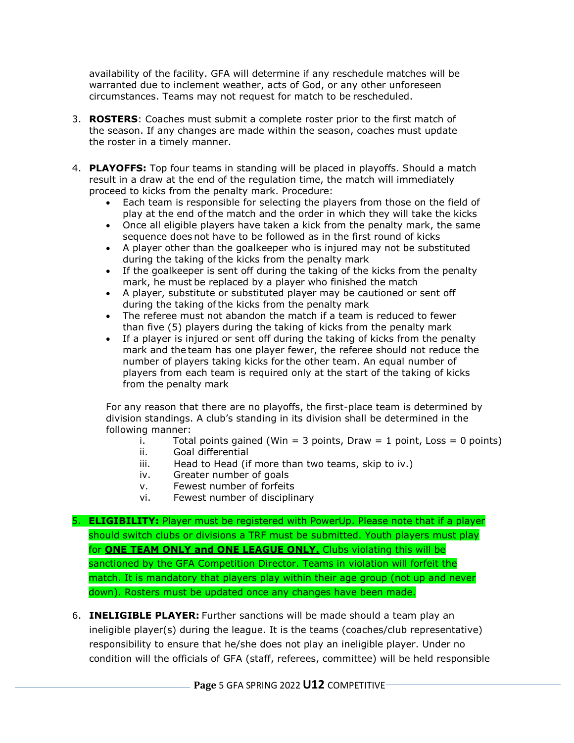availability of the facility. GFA will determine if any reschedule matches will be warranted due to inclement weather, acts of God, or any other unforeseen circumstances. Teams may not request for match to be rescheduled.

- 3. **ROSTERS**: Coaches must submit a complete roster prior to the first match of the season. If any changes are made within the season, coaches must update the roster in a timely manner.
- 4. **PLAYOFFS:** Top four teams in standing will be placed in playoffs. Should a match result in a draw at the end of the regulation time, the match will immediately proceed to kicks from the penalty mark. Procedure:
	- Each team is responsible for selecting the players from those on the field of play at the end ofthe match and the order in which they will take the kicks
	- Once all eligible players have taken a kick from the penalty mark, the same sequence does not have to be followed as in the first round of kicks
	- A player other than the goalkeeper who is injured may not be substituted during the taking ofthe kicks from the penalty mark
	- If the goalkeeper is sent off during the taking of the kicks from the penalty mark, he must be replaced by a player who finished the match
	- A player, substitute or substituted player may be cautioned or sent off during the taking ofthe kicks from the penalty mark
	- The referee must not abandon the match if a team is reduced to fewer than five (5) players during the taking of kicks from the penalty mark
	- If a player is injured or sent off during the taking of kicks from the penalty mark and the team has one player fewer, the referee should not reduce the number of players taking kicks for the other team. An equal number of players from each team is required only at the start of the taking of kicks from the penalty mark

For any reason that there are no playoffs, the first-place team is determined by division standings. A club's standing in its division shall be determined in the following manner:

- i. Total points gained (Win  $=$  3 points, Draw  $=$  1 point, Loss  $=$  0 points)
- ii. Goal differential
- iii. Head to Head (if more than two teams, skip to iv.)
- iv. Greater number of goals
- v. Fewest number of forfeits
- vi. Fewest number of disciplinary

# 5. **ELIGIBILITY:** Player must be registered with PowerUp. Please note that if a player should switch clubs or divisions a TRF must be submitted. Youth players must play for **ONE TEAM ONLY and ONE LEAGUE ONLY.** Clubs violating this will be sanctioned by the GFA Competition Director. Teams in violation will forfeit the match. It is mandatory that players play within their age group (not up and never down). Rosters must be updated once any changes have been made.

6. **INELIGIBLE PLAYER:** Further sanctions will be made should a team play an ineligible player(s) during the league. It is the teams (coaches/club representative) responsibility to ensure that he/she does not play an ineligible player. Under no condition will the officials of GFA (staff, referees, committee) will be held responsible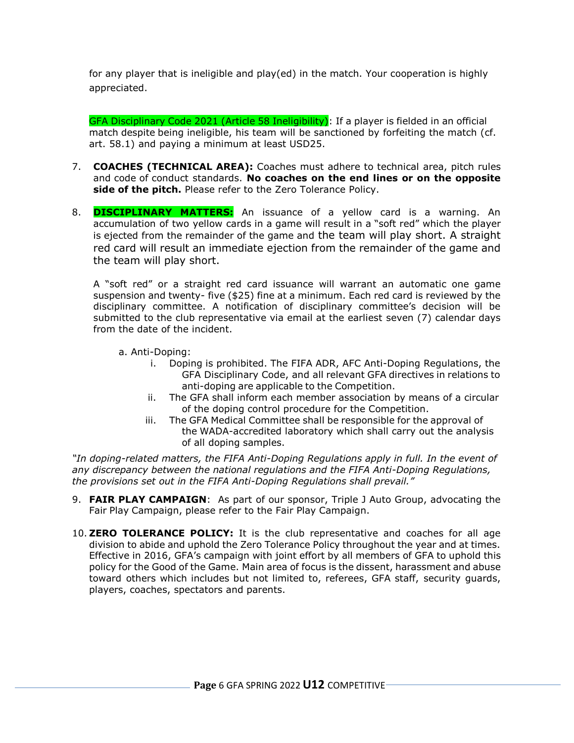for any player that is ineligible and play(ed) in the match. Your cooperation is highly appreciated.

GFA Disciplinary Code 2021 (Article 58 Ineligibility): If a player is fielded in an official match despite being ineligible, his team will be sanctioned by forfeiting the match (cf. art. 58.1) and paying a minimum at least USD25.

- 7. **COACHES (TECHNICAL AREA):** Coaches must adhere to technical area, pitch rules and code of conduct standards. **No coaches on the end lines or on the opposite side of the pitch.** Please refer to the Zero Tolerance Policy.
- 8. **DISCIPLINARY MATTERS:** An issuance of a yellow card is a warning. An accumulation of two yellow cards in a game will result in a "soft red" which the player is ejected from the remainder of the game and the team will play short. A straight red card will result an immediate ejection from the remainder of the game and the team will play short.

A "soft red" or a straight red card issuance will warrant an automatic one game suspension and twenty- five (\$25) fine at a minimum. Each red card is reviewed by the disciplinary committee. A notification of disciplinary committee's decision will be submitted to the club representative via email at the earliest seven (7) calendar days from the date of the incident.

- a. Anti-Doping:
	- i. Doping is prohibited. The FIFA ADR, AFC Anti-Doping Regulations, the GFA Disciplinary Code, and all relevant GFA directives in relations to anti-doping are applicable to the Competition.
	- ii. The GFA shall inform each member association by means of a circular of the doping control procedure for the Competition.
	- iii. The GFA Medical Committee shall be responsible for the approval of the WADA-accredited laboratory which shall carry out the analysis of all doping samples.

*"In doping-related matters, the FIFA Anti-Doping Regulations apply in full. In the event of any discrepancy between the national regulations and the FIFA Anti-Doping Regulations, the provisions set out in the FIFA Anti-Doping Regulations shall prevail."*

- 9. **FAIR PLAY CAMPAIGN**: As part of our sponsor, Triple J Auto Group, advocating the Fair Play Campaign, please refer to the Fair Play Campaign.
- 10. **ZERO TOLERANCE POLICY:** It is the club representative and coaches for all age division to abide and uphold the Zero Tolerance Policy throughout the year and at times. Effective in 2016, GFA's campaign with joint effort by all members of GFA to uphold this policy for the Good of the Game. Main area of focus is the dissent, harassment and abuse toward others which includes but not limited to, referees, GFA staff, security guards, players, coaches, spectators and parents.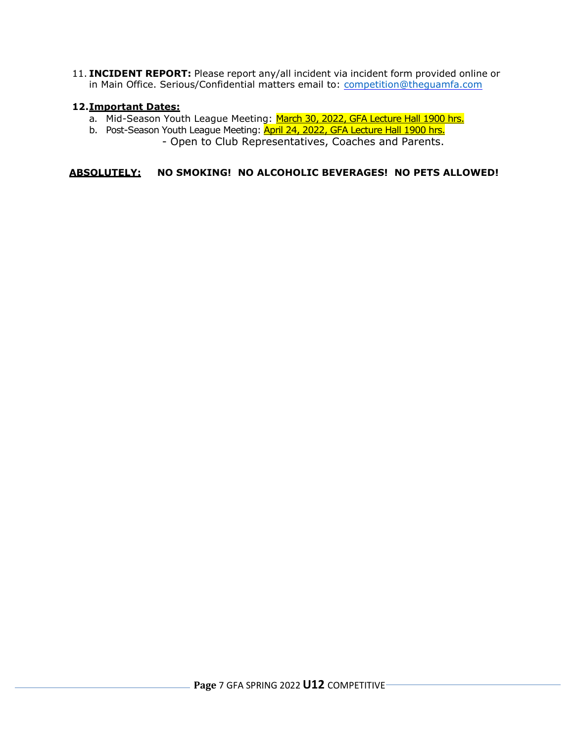11. **INCIDENT REPORT:** Please report any/all incident via incident form provided online or in Main Office. Serious/Confidential matters email to: competition@thequamfa.com

### **12.Important Dates:**

- a. Mid-Season Youth League Meeting: March 30, 2022, GFA Lecture Hall 1900 hrs.
- b. Post-Season Youth League Meeting: **April 24, 2022, GFA Lecture Hall 1900 hrs.**

- Open to Club Representatives, Coaches and Parents.

**ABSOLUTELY: NO SMOKING! NO ALCOHOLIC BEVERAGES! NO PETS ALLOWED!**